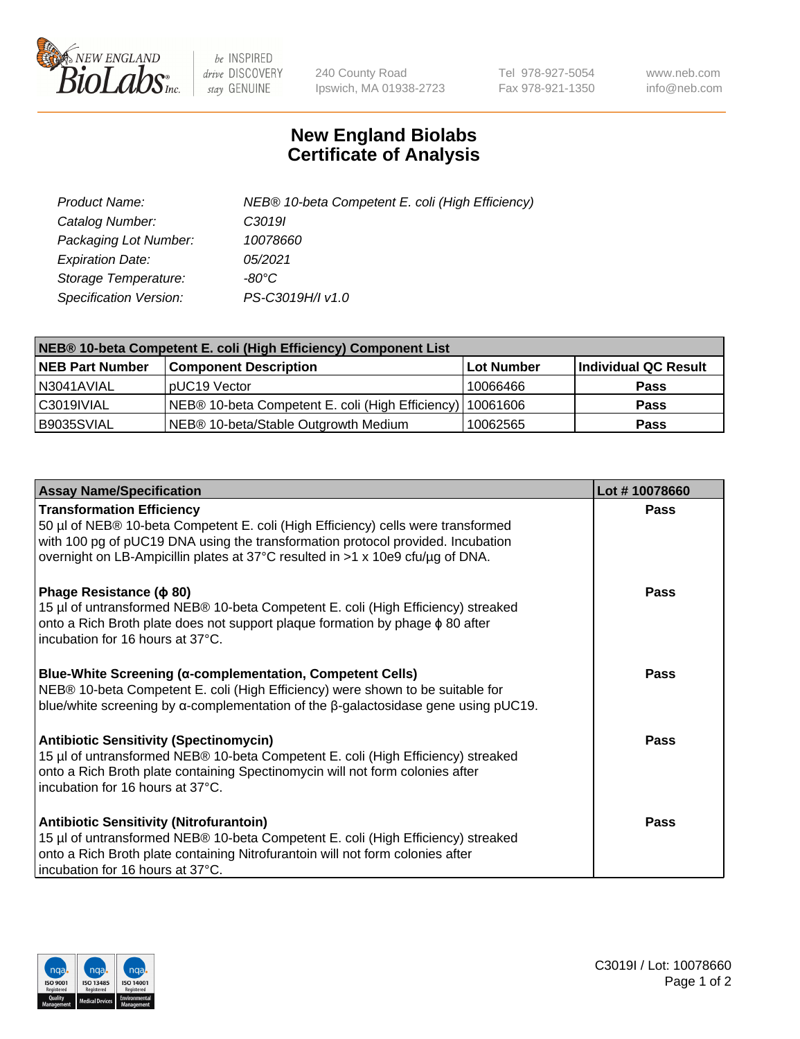

 $be$  INSPIRED drive DISCOVERY stay GENUINE

240 County Road Ipswich, MA 01938-2723 Tel 978-927-5054 Fax 978-921-1350 www.neb.com info@neb.com

## **New England Biolabs Certificate of Analysis**

| Product Name:           | NEB® 10-beta Competent E. coli (High Efficiency) |
|-------------------------|--------------------------------------------------|
| Catalog Number:         | C <sub>3019</sub>                                |
| Packaging Lot Number:   | 10078660                                         |
| <b>Expiration Date:</b> | 05/2021                                          |
| Storage Temperature:    | -80°C                                            |
| Specification Version:  | PS-C3019H/I v1.0                                 |

| NEB® 10-beta Competent E. coli (High Efficiency) Component List |                                                             |            |                      |  |
|-----------------------------------------------------------------|-------------------------------------------------------------|------------|----------------------|--|
| <b>NEB Part Number</b>                                          | <b>Component Description</b>                                | Lot Number | Individual QC Result |  |
| N3041AVIAL                                                      | pUC19 Vector                                                | 10066466   | <b>Pass</b>          |  |
| C3019IVIAL                                                      | NEB® 10-beta Competent E. coli (High Efficiency)   10061606 |            | <b>Pass</b>          |  |
| B9035SVIAL                                                      | NEB® 10-beta/Stable Outgrowth Medium                        | 10062565   | <b>Pass</b>          |  |

| <b>Assay Name/Specification</b>                                                                                                                                                                                                                                                           | Lot #10078660 |
|-------------------------------------------------------------------------------------------------------------------------------------------------------------------------------------------------------------------------------------------------------------------------------------------|---------------|
| <b>Transformation Efficiency</b><br>50 µl of NEB® 10-beta Competent E. coli (High Efficiency) cells were transformed<br>with 100 pg of pUC19 DNA using the transformation protocol provided. Incubation<br>overnight on LB-Ampicillin plates at 37°C resulted in >1 x 10e9 cfu/µg of DNA. | <b>Pass</b>   |
| Phage Resistance ( $\phi$ 80)<br>15 µl of untransformed NEB® 10-beta Competent E. coli (High Efficiency) streaked<br>onto a Rich Broth plate does not support plaque formation by phage $\phi$ 80 after<br>incubation for 16 hours at 37°C.                                               | Pass          |
| Blue-White Screening (α-complementation, Competent Cells)<br>NEB® 10-beta Competent E. coli (High Efficiency) were shown to be suitable for<br>blue/white screening by $\alpha$ -complementation of the $\beta$ -galactosidase gene using pUC19.                                          | <b>Pass</b>   |
| <b>Antibiotic Sensitivity (Spectinomycin)</b><br>15 µl of untransformed NEB® 10-beta Competent E. coli (High Efficiency) streaked<br>onto a Rich Broth plate containing Spectinomycin will not form colonies after<br>incubation for 16 hours at 37°C.                                    | Pass          |
| <b>Antibiotic Sensitivity (Nitrofurantoin)</b><br>15 µl of untransformed NEB® 10-beta Competent E. coli (High Efficiency) streaked<br>onto a Rich Broth plate containing Nitrofurantoin will not form colonies after<br>incubation for 16 hours at 37°C.                                  | Pass          |